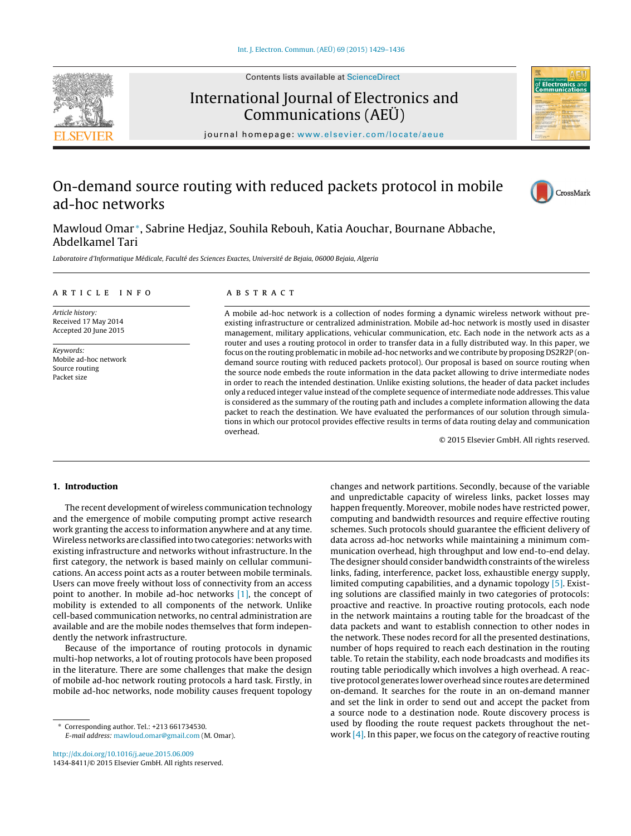Contents lists available at [ScienceDirect](http://www.sciencedirect.com/science/journal/14348411)



# International Journal of Electronics and Communications (AEÜ)



journal homepage: [www.elsevier.com/locate/aeue](http://www.elsevier.com/locate/aeue)

# On-demand source routing with reduced packets protocol in mobile ad-hoc networks



Mawloud Omar <sup>∗</sup>, Sabrine Hedjaz, Souhila Rebouh, Katia Aouchar, Bournane Abbache, Abdelkamel Tari

Laboratoire d'Informatique Médicale, Faculté des Sciences Exactes, Université de Bejaia, 06000 Bejaia, Algeria

## a r t i c l e i n f o

Article history: Received 17 May 2014 Accepted 20 June 2015

Keywords: Mobile ad-hoc network Source routing Packet size

# A B S T R A C T

A mobile ad-hoc network is a collection of nodes forming a dynamic wireless network without preexisting infrastructure or centralized administration. Mobile ad-hoc network is mostly used in disaster management, military applications, vehicular communication, etc. Each node in the network acts as a router and uses a routing protocol in order to transfer data in a fully distributed way. In this paper, we focus on the routing problematic in mobile ad-hoc networks and we contribute by proposing DS2R2P (ondemand source routing with reduced packets protocol). Our proposal is based on source routing when the source node embeds the route information in the data packet allowing to drive intermediate nodes in order to reach the intended destination. Unlike existing solutions, the header of data packet includes only a reduced integer value instead ofthe complete sequence of intermediate node addresses. This value is considered as the summary of the routing path and includes a complete information allowing the data packet to reach the destination. We have evaluated the performances of our solution through simulations in which our protocol provides effective results in terms of data routing delay and communication overhead.

© 2015 Elsevier GmbH. All rights reserved.

## **1. Introduction**

The recent development of wireless communication technology and the emergence of mobile computing prompt active research work granting the access to information anywhere and at any time. Wireless networks are classified into two categories: networks with existing infrastructure and networks without infrastructure. In the first category, the network is based mainly on cellular communications. An access point acts as a router between mobile terminals. Users can move freely without loss of connectivity from an access point to another. In mobile ad-hoc networks [\[1\],](#page--1-0) the concept of mobility is extended to all components of the network. Unlike cell-based communication networks, no central administration are available and are the mobile nodes themselves that form independently the network infrastructure.

Because of the importance of routing protocols in dynamic multi-hop networks, a lot of routing protocols have been proposed in the literature. There are some challenges that make the design of mobile ad-hoc network routing protocols a hard task. Firstly, in mobile ad-hoc networks, node mobility causes frequent topology

∗ Corresponding author. Tel.: +213 661734530. E-mail address: [mawloud.omar@gmail.com](mailto:mawloud.omar@gmail.com) (M. Omar).

[http://dx.doi.org/10.1016/j.aeue.2015.06.009](dx.doi.org/10.1016/j.aeue.2015.06.009) 1434-8411/© 2015 Elsevier GmbH. All rights reserved. changes and network partitions. Secondly, because of the variable and unpredictable capacity of wireless links, packet losses may happen frequently. Moreover, mobile nodes have restricted power, computing and bandwidth resources and require effective routing schemes. Such protocols should guarantee the efficient delivery of data across ad-hoc networks while maintaining a minimum communication overhead, high throughput and low end-to-end delay. The designer should consider bandwidth constraints of the wireless links, fading, interference, packet loss, exhaustible energy supply, limited computing capabilities, and a dynamic topology [\[5\].](#page--1-0) Existing solutions are classified mainly in two categories of protocols: proactive and reactive. In proactive routing protocols, each node in the network maintains a routing table for the broadcast of the data packets and want to establish connection to other nodes in the network. These nodes record for all the presented destinations, number of hops required to reach each destination in the routing table. To retain the stability, each node broadcasts and modifies its routing table periodically which involves a high overhead. A reactive protocol generates lower overhead since routes are determined on-demand. It searches for the route in an on-demand manner and set the link in order to send out and accept the packet from a source node to a destination node. Route discovery process is used by flooding the route request packets throughout the network [\[4\].](#page--1-0) In this paper, we focus on the category of reactive routing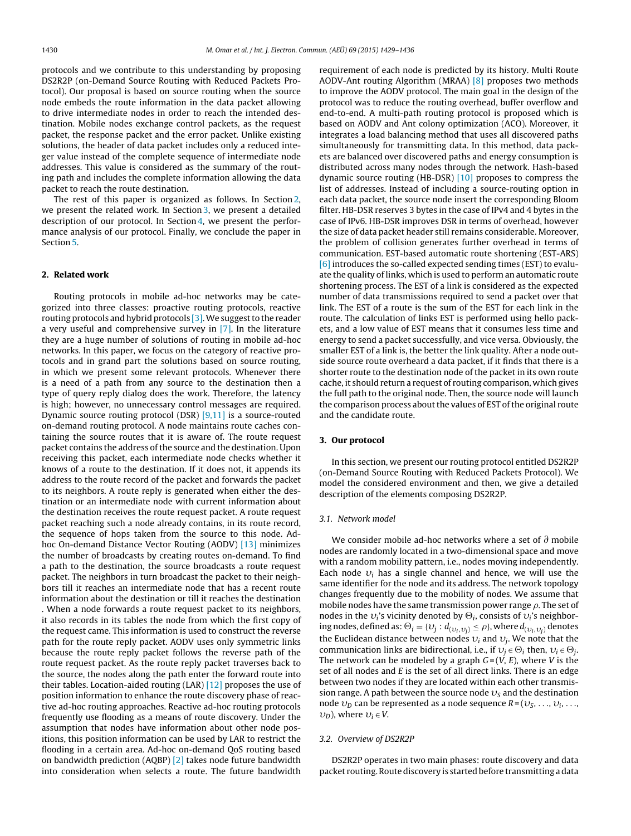protocols and we contribute to this understanding by proposing DS2R2P (on-Demand Source Routing with Reduced Packets Protocol). Our proposal is based on source routing when the source node embeds the route information in the data packet allowing to drive intermediate nodes in order to reach the intended destination. Mobile nodes exchange control packets, as the request packet, the response packet and the error packet. Unlike existing solutions, the header of data packet includes only a reduced integer value instead of the complete sequence of intermediate node addresses. This value is considered as the summary of the routing path and includes the complete information allowing the data packet to reach the route destination.

The rest of this paper is organized as follows. In Section 2, we present the related work. In Section 3, we present a detailed description of our protocol. In Section [4,](#page--1-0) we present the performance analysis of our protocol. Finally, we conclude the paper in Section [5.](#page--1-0)

# **2. Related work**

Routing protocols in mobile ad-hoc networks may be categorized into three classes: proactive routing protocols, reactive routing protocols and hybrid protocols  $[3]$ . We suggest to the reader a very useful and comprehensive survey in [\[7\].](#page--1-0) In the literature they are a huge number of solutions of routing in mobile ad-hoc networks. In this paper, we focus on the category of reactive protocols and in grand part the solutions based on source routing, in which we present some relevant protocols. Whenever there is a need of a path from any source to the destination then a type of query reply dialog does the work. Therefore, the latency is high; however, no unnecessary control messages are required. Dynamic source routing protocol (DSR) [\[9,11\]](#page--1-0) is a source-routed on-demand routing protocol. A node maintains route caches containing the source routes that it is aware of. The route request packet contains the address of the source and the destination. Upon receiving this packet, each intermediate node checks whether it knows of a route to the destination. If it does not, it appends its address to the route record of the packet and forwards the packet to its neighbors. A route reply is generated when either the destination or an intermediate node with current information about the destination receives the route request packet. A route request packet reaching such a node already contains, in its route record, the sequence of hops taken from the source to this node. Adhoc On-demand Distance Vector Routing (AODV) [\[13\]](#page--1-0) minimizes the number of broadcasts by creating routes on-demand. To find a path to the destination, the source broadcasts a route request packet. The neighbors in turn broadcast the packet to their neighbors till it reaches an intermediate node that has a recent route information about the destination or till it reaches the destination . When a node forwards a route request packet to its neighbors, it also records in its tables the node from which the first copy of the request came. This information is used to construct the reverse path for the route reply packet. AODV uses only symmetric links because the route reply packet follows the reverse path of the route request packet. As the route reply packet traverses back to the source, the nodes along the path enter the forward route into their tables. Location-aided routing (LAR) [\[12\]](#page--1-0) proposes the use of position information to enhance the route discovery phase of reactive ad-hoc routing approaches. Reactive ad-hoc routing protocols frequently use flooding as a means of route discovery. Under the assumption that nodes have information about other node positions, this position information can be used by LAR to restrict the flooding in a certain area. Ad-hoc on-demand QoS routing based on bandwidth prediction (AQBP) [\[2\]](#page--1-0) takes node future bandwidth into consideration when selects a route. The future bandwidth

requirement of each node is predicted by its history. Multi Route AODV-Ant routing Algorithm (MRAA) [\[8\]](#page--1-0) proposes two methods to improve the AODV protocol. The main goal in the design of the protocol was to reduce the routing overhead, buffer overflow and end-to-end. A multi-path routing protocol is proposed which is based on AODV and Ant colony optimization (ACO). Moreover, it integrates a load balancing method that uses all discovered paths simultaneously for transmitting data. In this method, data packets are balanced over discovered paths and energy consumption is distributed across many nodes through the network. Hash-based dynamic source routing (HB-DSR) [\[10\]](#page--1-0) proposes to compress the list of addresses. Instead of including a source-routing option in each data packet, the source node insert the corresponding Bloom filter. HB-DSR reserves 3 bytes in the case of IPv4 and 4 bytes in the case of IPv6. HB-DSR improves DSR in terms of overhead, however the size of data packet header still remains considerable. Moreover, the problem of collision generates further overhead in terms of communication. EST-based automatic route shortening (EST-ARS) [\[6\]](#page--1-0) introduces the so-called expected sending times (EST) to evaluate the quality of links, which is used to perform an automatic route shortening process. The EST of a link is considered as the expected number of data transmissions required to send a packet over that link. The EST of a route is the sum of the EST for each link in the route. The calculation of links EST is performed using hello packets, and a low value of EST means that it consumes less time and energy to send a packet successfully, and vice versa. Obviously, the smaller EST of a link is, the better the link quality. After a node outside source route overheard a data packet, if it finds that there is a shorter route to the destination node of the packet in its own route cache, it should return a request of routing comparison, which gives the full path to the original node. Then, the source node will launch the comparison process about the values of EST of the original route and the candidate route.

## **3. Our protocol**

In this section, we present our routing protocol entitled DS2R2P (on-Demand Source Routing with Reduced Packets Protocol). We model the considered environment and then, we give a detailed description of the elements composing DS2R2P.

### 3.1. Network model

We consider mobile ad-hoc networks where a set of  $\partial$  mobile nodes are randomly located in a two-dimensional space and move with a random mobility pattern, i.e., nodes moving independently. Each node  $v_i$  has a single channel and hence, we will use the same identifier for the node and its address. The network topology changes frequently due to the mobility of nodes. We assume that mobile nodes have the same transmission power range  $\rho$ . The set of nodes in the  $v_i$ 's vicinity denoted by  $\Theta_i$ , consists of  $v_i$ 's neighboring nodes, defined as:  $\Theta_i = \{v_j : d_{(v_i,v_j)} \leq \rho\}$ , where  $d_{(v_i,v_j)}$  denotes the Euclidean distance between nodes  $v_i$  and  $v_j$ . We note that the communication links are bidirectional, i.e., if  $v_i \in \Theta_i$ , then,  $v_i \in \Theta_i$ . The network can be modeled by a graph  $G = (V, E)$ , where V is the set of all nodes and  $E$  is the set of all direct links. There is an edge between two nodes if they are located within each other transmission range. A path between the source node  $v_s$  and the destination node  $v_D$  can be represented as a node sequence  $R = (v_S, \ldots, v_i, \ldots,$  $U_D$ ), where  $U_i \in V$ .

#### 3.2. Overview of DS2R2P

DS2R2P operates in two main phases: route discovery and data packet routing.Route discovery is started before transmitting a data